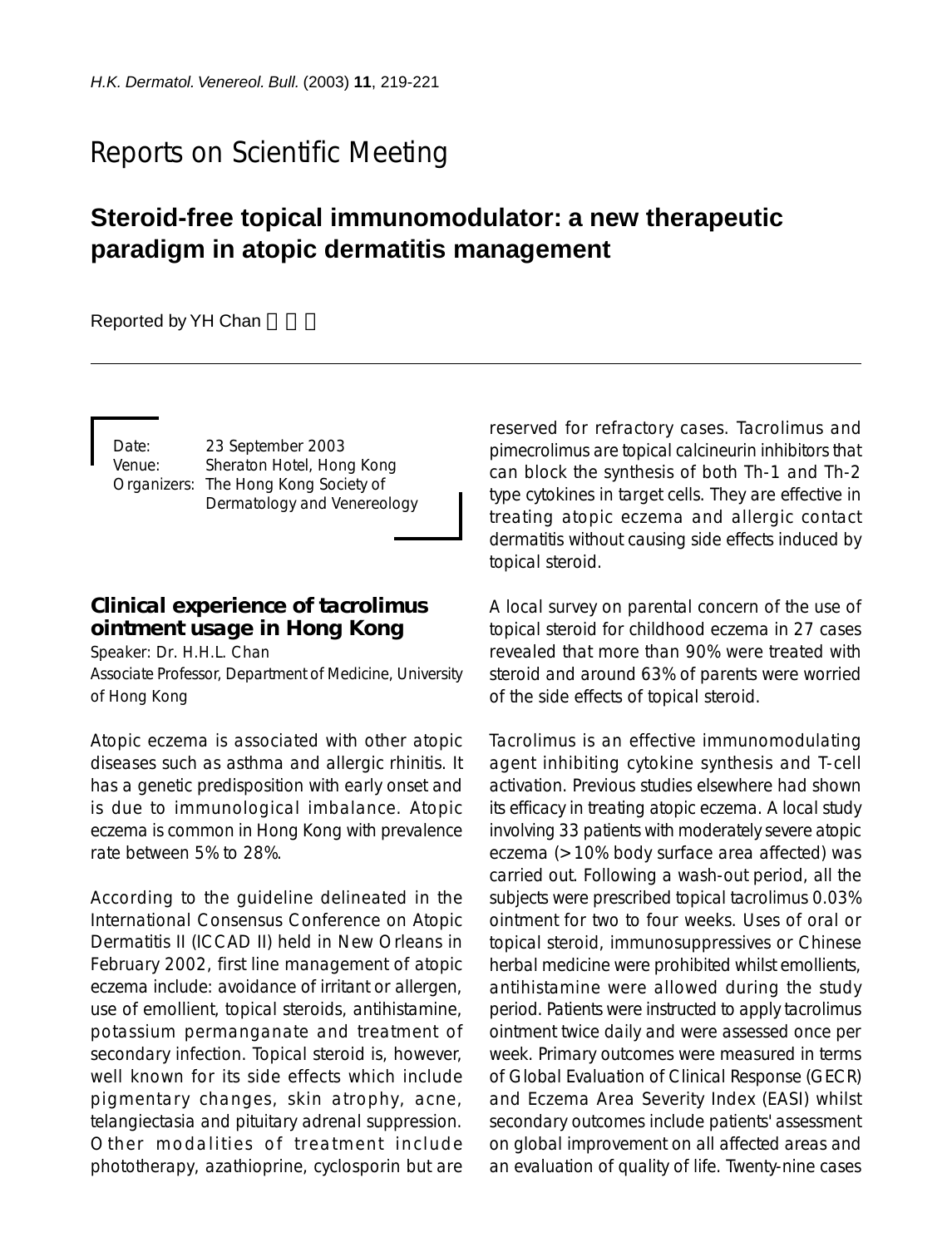# Reports on Scientific Meeting

## **Steroid-free topical immunomodulator: a new therapeutic paradigm in atopic dermatitis management**

Reported by YH Chan

Date: 23 September 2003 Venue: Sheraton Hotel, Hong Kong Organizers: The Hong Kong Society of Dermatology and Venereology

## **Clinical experience of tacrolimus ointment usage in Hong Kong**

Speaker: Dr. H.H.L. Chan Associate Professor, Department of Medicine, University of Hong Kong

Atopic eczema is associated with other atopic diseases such as asthma and allergic rhinitis. It has a genetic predisposition with early onset and is due to immunological imbalance. Atopic eczema is common in Hong Kong with prevalence rate between 5% to 28%.

According to the guideline delineated in the International Consensus Conference on Atopic Dermatitis II (ICCAD II) held in New Orleans in February 2002, first line management of atopic eczema include: avoidance of irritant or allergen, use of emollient, topical steroids, antihistamine, potassium permanganate and treatment of secondary infection. Topical steroid is, however, well known for its side effects which include pigmentary changes, skin atrophy, acne, telangiectasia and pituitary adrenal suppression. Other modalities of treatment include phototherapy, azathioprine, cyclosporin but are reserved for refractory cases. Tacrolimus and pimecrolimus are topical calcineurin inhibitors that can block the synthesis of both Th-1 and Th-2 type cytokines in target cells. They are effective in treating atopic eczema and allergic contact dermatitis without causing side effects induced by topical steroid.

A local survey on parental concern of the use of topical steroid for childhood eczema in 27 cases revealed that more than 90% were treated with steroid and around 63% of parents were worried of the side effects of topical steroid.

Tacrolimus is an effective immunomodulating agent inhibiting cytokine synthesis and T-cell activation. Previous studies elsewhere had shown its efficacy in treating atopic eczema. A local study involving 33 patients with moderately severe atopic eczema (>10% body surface area affected) was carried out. Following a wash-out period, all the subjects were prescribed topical tacrolimus 0.03% ointment for two to four weeks. Uses of oral or topical steroid, immunosuppressives or Chinese herbal medicine were prohibited whilst emollients, antihistamine were allowed during the study period. Patients were instructed to apply tacrolimus ointment twice daily and were assessed once per week. Primary outcomes were measured in terms of Global Evaluation of Clinical Response (GECR) and Eczema Area Severity Index (EASI) whilst secondary outcomes include patients' assessment on global improvement on all affected areas and an evaluation of quality of life. Twenty-nine cases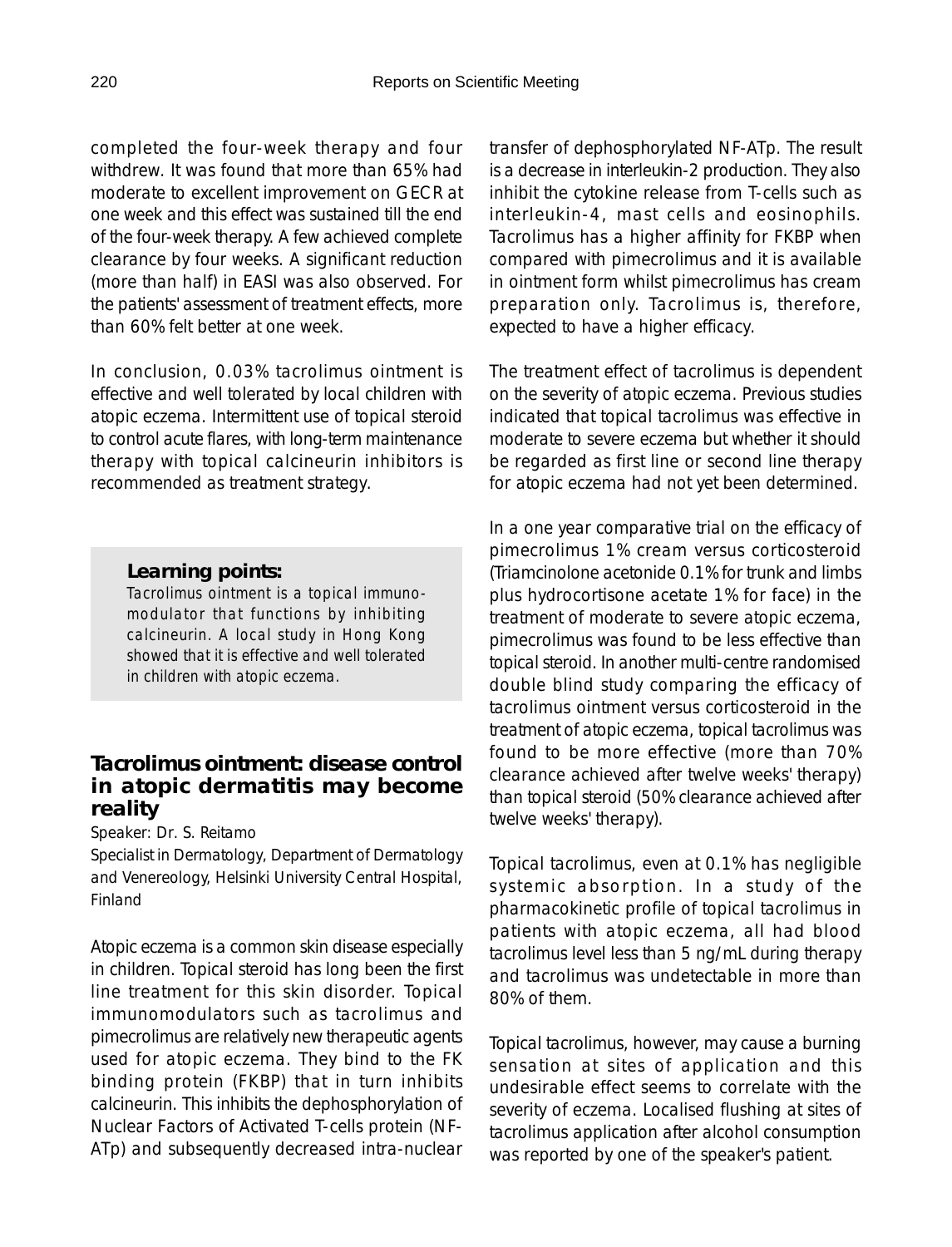completed the four-week therapy and four withdrew. It was found that more than 65% had moderate to excellent improvement on GECR at one week and this effect was sustained till the end of the four-week therapy. A few achieved complete clearance by four weeks. A significant reduction (more than half) in EASI was also observed. For the patients' assessment of treatment effects, more than 60% felt better at one week.

In conclusion, 0.03% tacrolimus ointment is effective and well tolerated by local children with atopic eczema. Intermittent use of topical steroid to control acute flares, with long-term maintenance therapy with topical calcineurin inhibitors is recommended as treatment strategy.

#### *Learning points:*

*Tacrolimus ointment is a topical immunomodulator that functions by inhibiting calcineurin. A local study in Hong Kong showed that it is effective and well tolerated in children with atopic eczema.*

### **Tacrolimus ointment: disease control in atopic dermatitis may become reality**

Speaker: Dr. S. Reitamo

Specialist in Dermatology, Department of Dermatology and Venereology, Helsinki University Central Hospital, Finland

Atopic eczema is a common skin disease especially in children. Topical steroid has long been the first line treatment for this skin disorder. Topical immunomodulators such as tacrolimus and pimecrolimus are relatively new therapeutic agents used for atopic eczema. They bind to the FK binding protein (FKBP) that in turn inhibits calcineurin. This inhibits the dephosphorylation of Nuclear Factors of Activated T-cells protein (NF-ATp) and subsequently decreased intra-nuclear transfer of dephosphorylated NF-ATp. The result is a decrease in interleukin-2 production. They also inhibit the cytokine release from T-cells such as interleukin-4, mast cells and eosinophils. Tacrolimus has a higher affinity for FKBP when compared with pimecrolimus and it is available in ointment form whilst pimecrolimus has cream preparation only. Tacrolimus is, therefore, expected to have a higher efficacy.

The treatment effect of tacrolimus is dependent on the severity of atopic eczema. Previous studies indicated that topical tacrolimus was effective in moderate to severe eczema but whether it should be regarded as first line or second line therapy for atopic eczema had not yet been determined.

In a one year comparative trial on the efficacy of pimecrolimus 1% cream versus corticosteroid (Triamcinolone acetonide 0.1% for trunk and limbs plus hydrocortisone acetate 1% for face) in the treatment of moderate to severe atopic eczema, pimecrolimus was found to be less effective than topical steroid. In another multi-centre randomised double blind study comparing the efficacy of tacrolimus ointment versus corticosteroid in the treatment of atopic eczema, topical tacrolimus was found to be more effective (more than 70% clearance achieved after twelve weeks' therapy) than topical steroid (50% clearance achieved after twelve weeks' therapy).

Topical tacrolimus, even at 0.1% has negligible systemic absorption. In a study of the pharmacokinetic profile of topical tacrolimus in patients with atopic eczema, all had blood tacrolimus level less than 5 ng/mL during therapy and tacrolimus was undetectable in more than 80% of them.

Topical tacrolimus, however, may cause a burning sensation at sites of application and this undesirable effect seems to correlate with the severity of eczema. Localised flushing at sites of tacrolimus application after alcohol consumption was reported by one of the speaker's patient.